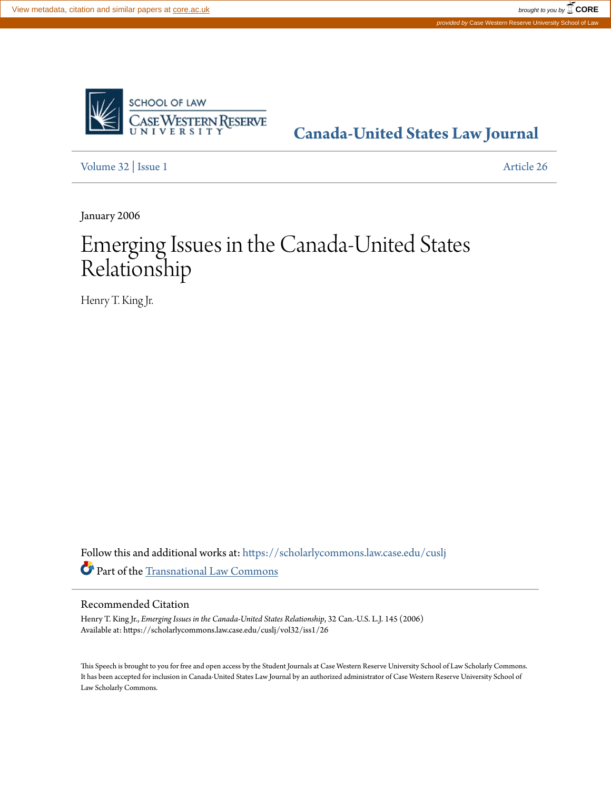

# **[Canada-United States Law Journal](https://scholarlycommons.law.case.edu/cuslj?utm_source=scholarlycommons.law.case.edu%2Fcuslj%2Fvol32%2Fiss1%2F26&utm_medium=PDF&utm_campaign=PDFCoverPages)**

[Volume 32](https://scholarlycommons.law.case.edu/cuslj/vol32?utm_source=scholarlycommons.law.case.edu%2Fcuslj%2Fvol32%2Fiss1%2F26&utm_medium=PDF&utm_campaign=PDFCoverPages) | [Issue 1](https://scholarlycommons.law.case.edu/cuslj/vol32/iss1?utm_source=scholarlycommons.law.case.edu%2Fcuslj%2Fvol32%2Fiss1%2F26&utm_medium=PDF&utm_campaign=PDFCoverPages) [Article 26](https://scholarlycommons.law.case.edu/cuslj/vol32/iss1/26?utm_source=scholarlycommons.law.case.edu%2Fcuslj%2Fvol32%2Fiss1%2F26&utm_medium=PDF&utm_campaign=PDFCoverPages)

January 2006

# Emerging Issues in the Canada-United States Relationship

Henry T. King Jr.

Follow this and additional works at: [https://scholarlycommons.law.case.edu/cuslj](https://scholarlycommons.law.case.edu/cuslj?utm_source=scholarlycommons.law.case.edu%2Fcuslj%2Fvol32%2Fiss1%2F26&utm_medium=PDF&utm_campaign=PDFCoverPages) Part of the [Transnational Law Commons](http://network.bepress.com/hgg/discipline/1123?utm_source=scholarlycommons.law.case.edu%2Fcuslj%2Fvol32%2Fiss1%2F26&utm_medium=PDF&utm_campaign=PDFCoverPages)

## Recommended Citation

Henry T. King Jr., *Emerging Issues in the Canada-United States Relationship*, 32 Can.-U.S. L.J. 145 (2006) Available at: https://scholarlycommons.law.case.edu/cuslj/vol32/iss1/26

This Speech is brought to you for free and open access by the Student Journals at Case Western Reserve University School of Law Scholarly Commons. It has been accepted for inclusion in Canada-United States Law Journal by an authorized administrator of Case Western Reserve University School of Law Scholarly Commons.